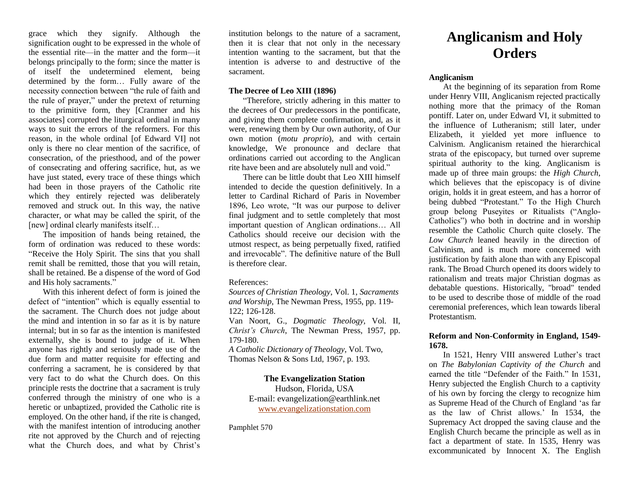grace which they signify. Although the signification ought to be expressed in the whole of the essential rite—in the matter and the form—it belongs principally to the form; since the matter is of itself the undetermined element, being determined by the form… Fully aware of the necessity connection between "the rule of faith and the rule of prayer," under the pretext of returning to the primitive form, they [Cranmer and his associates] corrupted the liturgical ordinal in many ways to suit the errors of the reformers. For this reason, in the whole ordinal [of Edward VI] not only is there no clear mention of the sacrifice, of consecration, of the priesthood, and of the power of consecrating and offering sacrifice, hut, as we have just stated, every trace of these things which had been in those prayers of the Catholic rite which they entirely rejected was deliberately removed and struck out. In this way, the native character, or what may be called the spirit, of the [new] ordinal clearly manifests itself...

The imposition of hands being retained, the form of ordination was reduced to these words: "Receive the Holy Spirit. The sins that you shall remit shall be remitted, those that you will retain, shall be retained. Be a dispense of the word of God and His holy sacraments."

With this inherent defect of form is joined the defect of "intention" which is equally essential to the sacrament. The Church does not judge about the mind and intention in so far as it is by nature internal; but in so far as the intention is manifested externally, she is bound to judge of it. When anyone has rightly and seriously made use of the due form and matter requisite for effecting and conferring a sacrament, he is considered by that very fact to do what the Church does. On this principle rests the doctrine that a sacrament is truly conferred through the ministry of one who is a heretic or unbaptized, provided the Catholic rite is employed. On the other hand, if the rite is changed, with the manifest intention of introducing another rite not approved by the Church and of rejecting what the Church does, and what by Christ's

institution belongs to the nature of a sacrament, then it is clear that not only in the necessary intention wanting to the sacrament, but that the intention is adverse to and destructive of the sacrament.

## **The Decree of Leo XIII (1896)**

"Therefore, strictly adhering in this matter to the decrees of Our predecessors in the pontificate, and giving them complete confirmation, and, as it were, renewing them by Our own authority, of Our own motion (*motu proprio*), and with certain knowledge, We pronounce and declare that ordinations carried out according to the Anglican rite have been and are absolutely null and void."

There can be little doubt that Leo XIII himself intended to decide the question definitively. In a letter to Cardinal Richard of Paris in November 1896, Leo wrote, "It was our purpose to deliver final judgment and to settle completely that most important question of Anglican ordinations… All Catholics should receive our decision with the utmost respect, as being perpetually fixed, ratified and irrevocable". The definitive nature of the Bull is therefore clear.

#### References:

*Sources of Christian Theology*, Vol. 1, *Sacraments and Worship*, The Newman Press, 1955, pp. 119- 122; 126-128.

Van Noort, G., *Dogmatic Theology*, Vol. II, *Christ's Church*, The Newman Press, 1957, pp. 179-180.

*A Catholic Dictionary of Theology,* Vol. Two, Thomas Nelson & Sons Ltd, 1967, p. 193.

# **The Evangelization Station**

Hudson, Florida, USA E-mail: evangelization@earthlink.net [www.evangelizationstation.com](http://www.pjpiisoe.org/)

Pamphlet 570

# **Anglicanism and Holy Orders**

# **Anglicanism**

At the beginning of its separation from Rome under Henry VIII, Anglicanism rejected practically nothing more that the primacy of the Roman pontiff. Later on, under Edward VI, it submitted to the influence of Lutheranism; still later, under Elizabeth, it yielded yet more influence to Calvinism. Anglicanism retained the hierarchical strata of the episcopacy, but turned over supreme spiritual authority to the king. Anglicanism is made up of three main groups: the *High Church*, which believes that the episcopacy is of divine origin, holds it in great esteem, and has a horror of being dubbed "Protestant." To the High Church group belong Puseyites or Ritualists ("Anglo-Catholics") who both in doctrine and in worship resemble the Catholic Church quite closely. The *Low Church* leaned heavily in the direction of Calvinism, and is much more concerned with justification by faith alone than with any Episcopal rank. The Broad Church opened its doors widely to rationalism and treats major Christian dogmas as debatable questions. Historically, "broad" tended to be used to describe those of middle of the road ceremonial preferences, which lean towards liberal Protestantism.

# **Reform and Non-Conformity in England, 1549- 1678.**

In 1521, Henry VIII answered Luther's tract on *The Babylonian Captivity of the Church* and earned the title "Defender of the Faith." In 1531, Henry subjected the English Church to a captivity of his own by forcing the clergy to recognize him as Supreme Head of the Church of England 'as far as the law of Christ allows.' In 1534, the Supremacy Act dropped the saving clause and the English Church became the principle as well as in fact a department of state. In 1535, Henry was excommunicated by Innocent X. The English